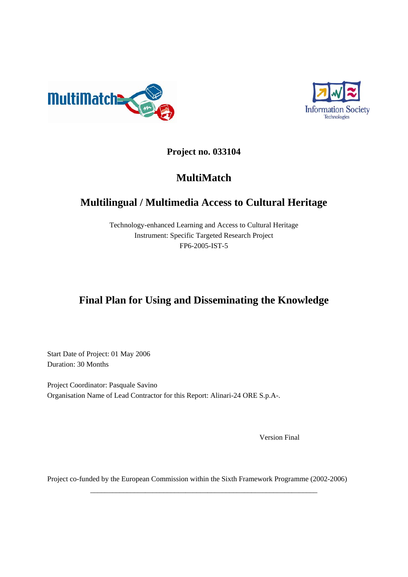



**Project no. 033104** 

# **MultiMatch**

# **Multilingual / Multimedia Access to Cultural Heritage**

Technology-enhanced Learning and Access to Cultural Heritage Instrument: Specific Targeted Research Project FP6-2005-IST-5

# **Final Plan for Using and Disseminating the Knowledge**

Start Date of Project: 01 May 2006 Duration: 30 Months

Project Coordinator: Pasquale Savino Organisation Name of Lead Contractor for this Report: Alinari-24 ORE S.p.A-.

Version Final

Project co-funded by the European Commission within the Sixth Framework Programme (2002-2006)

\_\_\_\_\_\_\_\_\_\_\_\_\_\_\_\_\_\_\_\_\_\_\_\_\_\_\_\_\_\_\_\_\_\_\_\_\_\_\_\_\_\_\_\_\_\_\_\_\_\_\_\_\_\_\_\_\_\_\_\_\_\_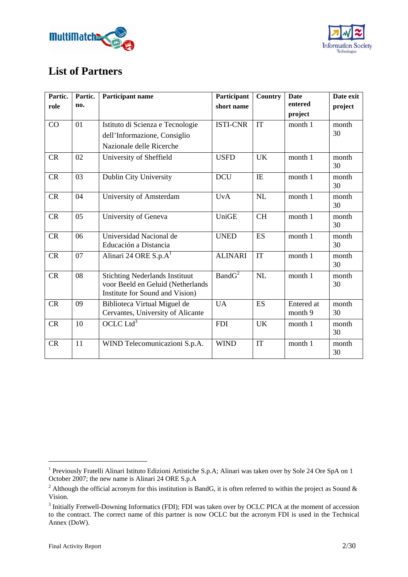



## **List of Partners**

| Partic.   | Partic. | <b>Participant name</b>                                                                                       | Participant        | <b>Country</b> | <b>Date</b>           | Date exit   |
|-----------|---------|---------------------------------------------------------------------------------------------------------------|--------------------|----------------|-----------------------|-------------|
| role      | no.     |                                                                                                               | short name         |                | entered               | project     |
|           |         |                                                                                                               |                    |                | project               |             |
| CO        | 01      | Istituto di Scienza e Tecnologie                                                                              | <b>ISTI-CNR</b>    | IT             | month 1               | month       |
|           |         | dell'Informazione, Consiglio                                                                                  |                    |                |                       | 30          |
|           |         | Nazionale delle Ricerche                                                                                      |                    |                |                       |             |
| <b>CR</b> | 02      | University of Sheffield                                                                                       | <b>USFD</b>        | <b>UK</b>      | month 1               | month<br>30 |
| CR        | 03      | Dublin City University                                                                                        | <b>DCU</b>         | IE             | month 1               | month<br>30 |
| CR        | 04      | University of Amsterdam                                                                                       | <b>UvA</b>         | NL             | month 1               | month<br>30 |
| <b>CR</b> | 05      | University of Geneva                                                                                          | UniGE              | <b>CH</b>      | month 1               | month<br>30 |
| CR        | 06      | Universidad Nacional de<br>Educación a Distancia                                                              | <b>UNED</b>        | <b>ES</b>      | month 1               | month<br>30 |
| CR        | 07      | Alinari 24 ORE $S.p.A1$                                                                                       | <b>ALINARI</b>     | IT             | month 1               | month<br>30 |
| CR        | 08      | <b>Stichting Nederlands Instituut</b><br>voor Beeld en Geluid (Netherlands<br>Institute for Sound and Vision) | BandG <sup>2</sup> | NL             | month 1               | month<br>30 |
| CR        | 09      | Biblioteca Virtual Miguel de<br>Cervantes, University of Alicante                                             | <b>UA</b>          | <b>ES</b>      | Entered at<br>month 9 | month<br>30 |
| CR        | 10      | OCLC Ltd <sup>3</sup>                                                                                         | <b>FDI</b>         | <b>UK</b>      | month 1               | month<br>30 |
| <b>CR</b> | 11      | WIND Telecomunicazioni S.p.A.                                                                                 | <b>WIND</b>        | IT             | month 1               | month<br>30 |

1

<sup>&</sup>lt;sup>1</sup> Previously Fratelli Alinari Istituto Edizioni Artistiche S.p.A; Alinari was taken over by Sole 24 Ore SpA on 1 October 2007; the new name is Alinari 24 ORE S.p.A

<sup>&</sup>lt;sup>2</sup> Although the official acronym for this institution is BandG, it is often referred to within the project as Sound & Vision.

<sup>&</sup>lt;sup>3</sup> Initially Fretwell-Downing Informatics (FDI); FDI was taken over by OCLC PICA at the moment of accession to the contract. The correct name of this partner is now OCLC but the acronym FDI is used in the Technical Annex (DoW).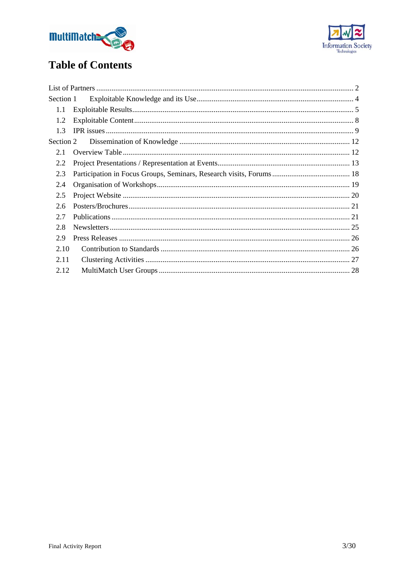



# **Table of Contents**

| Section 1 |  |
|-----------|--|
| 1.1       |  |
| 1.2       |  |
| 1.3       |  |
| Section 2 |  |
| 2.1       |  |
| 2.2       |  |
| 2.3       |  |
| 2.4       |  |
| 2.5       |  |
| 2.6       |  |
| 2.7       |  |
| 2.8       |  |
| 2.9       |  |
| 2.10      |  |
| 2.11      |  |
| 2.12      |  |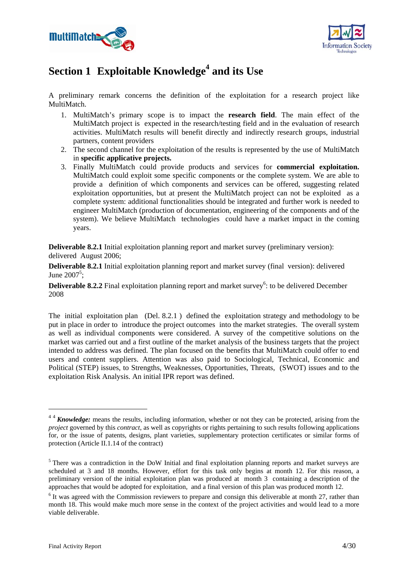



# Section 1 Exploitable Knowledge<sup>4</sup> and its Use

A preliminary remark concerns the definition of the exploitation for a research project like MultiMatch.

- 1. MultiMatch's primary scope is to impact the **research field**. The main effect of the MultiMatch project is expected in the research/testing field and in the evaluation of research activities. MultiMatch results will benefit directly and indirectly research groups, industrial partners, content providers
- 2. The second channel for the exploitation of the results is represented by the use of MultiMatch in **specific applicative projects.**
- 3. Finally MultiMatch could provide products and services for **commercial exploitation.** MultiMatch could exploit some specific components or the complete system. We are able to provide a definition of which components and services can be offered, suggesting related exploitation opportunities, but at present the MultiMatch project can not be exploited as a complete system: additional functionalities should be integrated and further work is needed to engineer MultiMatch (production of documentation, engineering of the components and of the system). We believe MultiMatch technologies could have a market impact in the coming years.

**Deliverable 8.2.1** Initial exploitation planning report and market survey (preliminary version): delivered August 2006;

**Deliverable 8.2.1** Initial exploitation planning report and market survey (final version): delivered June  $2007^5$ ;

**Deliverable 8.2.2** Final exploitation planning report and market survey<sup>6</sup>: to be delivered December 2008

The initial exploitation plan (Del. 8.2.1 ) defined the exploitation strategy and methodology to be put in place in order to introduce the project outcomes into the market strategies. The overall system as well as individual components were considered. A survey of the competitive solutions on the market was carried out and a first outline of the market analysis of the business targets that the project intended to address was defined. The plan focused on the benefits that MultiMatch could offer to end users and content suppliers. Attention was also paid to Sociological, Technical, Economic and Political (STEP) issues, to Strengths, Weaknesses, Opportunities, Threats, (SWOT) issues and to the exploitation Risk Analysis. An initial IPR report was defined.

1

<sup>&</sup>lt;sup>44</sup> *Knowledge:* means the results, including information, whether or not they can be protected, arising from the *project* governed by this *contract*, as well as copyrights or rights pertaining to such results following applications for, or the issue of patents, designs, plant varieties, supplementary protection certificates or similar forms of protection (Article II.1.14 of the contract)

<sup>&</sup>lt;sup>5</sup> There was a contradiction in the DoW Initial and final exploitation planning reports and market surveys are scheduled at 3 and 18 months. However, effort for this task only begins at month 12. For this reason, a preliminary version of the initial exploitation plan was produced at month 3 containing a description of the approaches that would be adopted for exploitation, and a final version of this plan was produced month 12.

<sup>&</sup>lt;sup>6</sup> It was agreed with the Commission reviewers to prepare and consign this deliverable at month 27, rather than month 18. This would make much more sense in the context of the project activities and would lead to a more viable deliverable.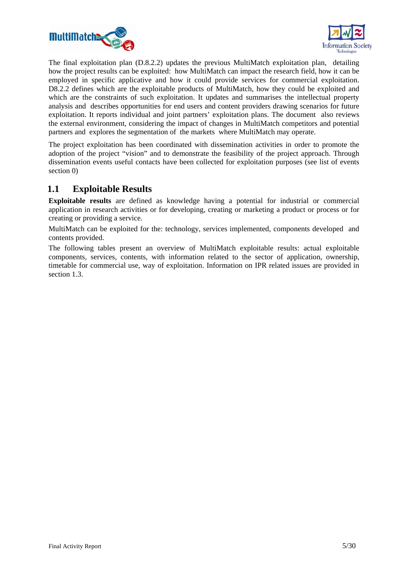



The final exploitation plan (D.8.2.2) updates the previous MultiMatch exploitation plan, detailing how the project results can be exploited: how MultiMatch can impact the research field, how it can be employed in specific applicative and how it could provide services for commercial exploitation. D8.2.2 defines which are the exploitable products of MultiMatch, how they could be exploited and which are the constraints of such exploitation. It updates and summarises the intellectual property analysis and describes opportunities for end users and content providers drawing scenarios for future exploitation. It reports individual and joint partners' exploitation plans. The document also reviews the external environment, considering the impact of changes in MultiMatch competitors and potential partners and explores the segmentation of the markets where MultiMatch may operate.

The project exploitation has been coordinated with dissemination activities in order to promote the adoption of the project "vision" and to demonstrate the feasibility of the project approach. Through dissemination events useful contacts have been collected for exploitation purposes (see list of events section 0)

## **1.1 Exploitable Results**

**Exploitable results** are defined as knowledge having a potential for industrial or commercial application in research activities or for developing, creating or marketing a product or process or for creating or providing a service.

MultiMatch can be exploited for the: technology, services implemented, components developed and contents provided.

The following tables present an overview of MultiMatch exploitable results: actual exploitable components, services, contents, with information related to the sector of application, ownership, timetable for commercial use, way of exploitation. Information on IPR related issues are provided in section 1.3.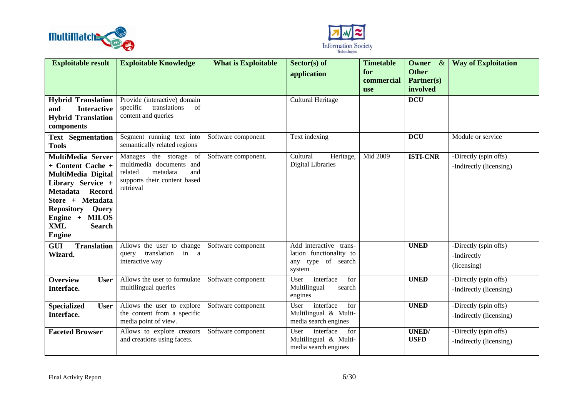



| <b>Exploitable result</b>                                                                                                                                                                                                                        | <b>Exploitable Knowledge</b>                                                                                                     | <b>What is Exploitable</b> | $Sector(s)$ of                                                                    | <b>Timetable</b>                | Owner<br>$\propto$                     | <b>Way of Exploitation</b>                          |
|--------------------------------------------------------------------------------------------------------------------------------------------------------------------------------------------------------------------------------------------------|----------------------------------------------------------------------------------------------------------------------------------|----------------------------|-----------------------------------------------------------------------------------|---------------------------------|----------------------------------------|-----------------------------------------------------|
|                                                                                                                                                                                                                                                  |                                                                                                                                  |                            | application                                                                       | for<br>commercial<br><b>use</b> | <b>Other</b><br>Partner(s)<br>involved |                                                     |
| <b>Hybrid Translation</b><br><b>Interactive</b><br>and<br><b>Hybrid Translation</b><br>components                                                                                                                                                | Provide (interactive) domain<br>translations<br>specific<br>of<br>content and queries                                            |                            | Cultural Heritage                                                                 |                                 | <b>DCU</b>                             |                                                     |
| <b>Text Segmentation</b><br><b>Tools</b>                                                                                                                                                                                                         | Segment running text into<br>semantically related regions                                                                        | Software component         | Text indexing                                                                     |                                 | <b>DCU</b>                             | Module or service                                   |
| <b>MultiMedia Server</b><br>+ Content Cache +<br>MultiMedia Digital<br>Library Service +<br><b>Record</b><br><b>Metadata</b><br>Store + Metadata<br><b>Repository</b><br>Query<br>Engine + MILOS<br><b>XML</b><br><b>Search</b><br><b>Engine</b> | Manages the storage<br>of<br>multimedia documents and<br>and<br>related<br>metadata<br>supports their content based<br>retrieval | Software component.        | Cultural<br>Heritage,<br><b>Digital Libraries</b>                                 | Mid 2009                        | <b>ISTI-CNR</b>                        | -Directly (spin offs)<br>-Indirectly (licensing)    |
| <b>GUI</b><br><b>Translation</b><br>Wizard.                                                                                                                                                                                                      | Allows the user to change<br>translation<br>in a<br>query<br>interactive way                                                     | Software component         | Add interactive trans-<br>lation functionality to<br>any type of search<br>system |                                 | <b>UNED</b>                            | -Directly (spin offs)<br>-Indirectly<br>(licensing) |
| <b>Overview</b><br><b>User</b><br>Interface.                                                                                                                                                                                                     | Allows the user to formulate<br>multilingual queries                                                                             | Software component         | interface<br>for<br>User<br>Multilingual<br>search<br>engines                     |                                 | <b>UNED</b>                            | -Directly (spin offs)<br>-Indirectly (licensing)    |
| <b>Specialized</b><br><b>User</b><br>Interface.                                                                                                                                                                                                  | Allows the user to explore<br>the content from a specific<br>media point of view.                                                | Software component         | interface<br>for<br>User<br>Multilingual & Multi-<br>media search engines         |                                 | <b>UNED</b>                            | -Directly (spin offs)<br>-Indirectly (licensing)    |
| <b>Faceted Browser</b>                                                                                                                                                                                                                           | Allows to explore creators<br>and creations using facets.                                                                        | Software component         | User<br>interface<br>for<br>Multilingual & Multi-<br>media search engines         |                                 | <b>UNED</b><br><b>USFD</b>             | -Directly (spin offs)<br>-Indirectly (licensing)    |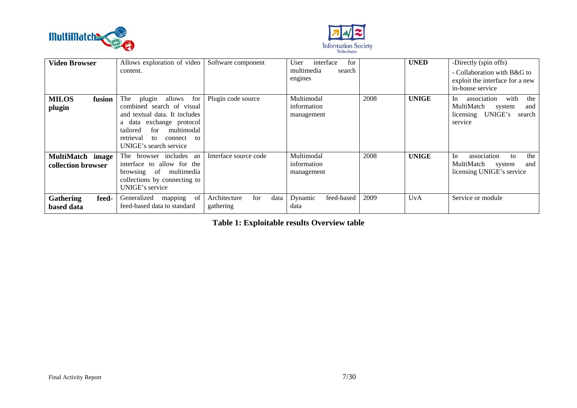



| <b>Video Browser</b>                    | Allows exploration of video<br>content.                                                                                                                                                                                       | Software component                       | for<br>interface<br>User<br>multimedia<br>search<br>engines |      | <b>UNED</b>  | -Directly (spin offs)<br>- Collaboration with B&G to<br>exploit the interface for a new<br>in-house service   |
|-----------------------------------------|-------------------------------------------------------------------------------------------------------------------------------------------------------------------------------------------------------------------------------|------------------------------------------|-------------------------------------------------------------|------|--------------|---------------------------------------------------------------------------------------------------------------|
| <b>MILOS</b><br>fusion<br>plugin        | The<br>allows<br>for<br>plugin<br>combined search of visual<br>and textual data. It includes<br>exchange protocol<br>data<br>a<br>multimodal<br>for<br>tailored<br>retrieval<br>connect<br>to<br>to<br>UNIGE's search service | Plugin code source                       | Multimodal<br>information<br>management                     | 2008 | <b>UNIGE</b> | with<br>the<br>association<br>In.<br>MultiMatch<br>and<br>system<br>UNIGE's<br>licensing<br>search<br>service |
| MultiMatch image<br>collection browser  | browser includes an<br>The<br>interface to allow for the<br>browsing of multimedia<br>collections by connecting to<br>UNIGE's service                                                                                         | Interface source code                    | Multimodal<br>information<br>management                     | 2008 | <b>UNIGE</b> | association<br>the<br>In<br>to<br>MultiMatch<br>and<br>system<br>licensing UNIGE's service                    |
| <b>Gathering</b><br>feed-<br>based data | of<br>Generalized<br>mapping<br>feed-based data to standard                                                                                                                                                                   | for<br>Architecture<br>data<br>gathering | Dynamic<br>feed-based<br>data                               | 2009 | UvA          | Service or module                                                                                             |

**Table 1: Exploitable results Overview table**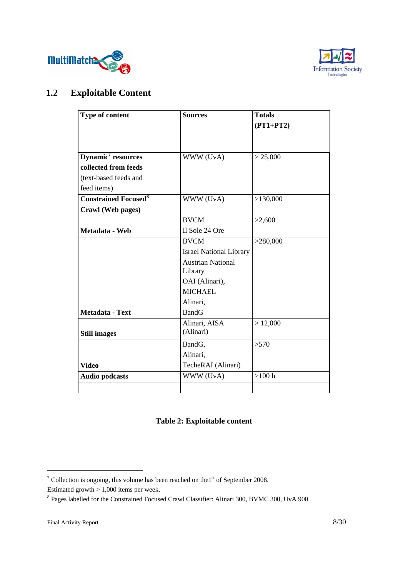



## **1.2 Exploitable Content**

| Type of content                        | <b>Sources</b>                 | <b>Totals</b> |
|----------------------------------------|--------------------------------|---------------|
|                                        |                                | $(PT1+PT2)$   |
|                                        |                                |               |
|                                        |                                |               |
| Dynamic <sup>7</sup> resources         | WWW (UvA)                      | > 25,000      |
| collected from feeds                   |                                |               |
| (text-based feeds and                  |                                |               |
| feed items)                            |                                |               |
| <b>Constrained Focused<sup>8</sup></b> | WWW (UvA)                      | >130,000      |
| Crawl (Web pages)                      |                                |               |
|                                        | <b>BVCM</b>                    | >2,600        |
| Metadata - Web                         | Il Sole 24 Ore                 |               |
|                                        | <b>BVCM</b>                    | >280,000      |
|                                        | <b>Israel National Library</b> |               |
|                                        | <b>Austrian National</b>       |               |
|                                        | Library                        |               |
|                                        | OAI (Alinari),                 |               |
|                                        | <b>MICHAEL</b>                 |               |
|                                        | Alinari,                       |               |
| Metadata - Text                        | <b>BandG</b>                   |               |
|                                        | Alinari, AISA                  | > 12,000      |
| <b>Still images</b>                    | (Alinari)                      |               |
|                                        | BandG,                         | >570          |
|                                        | Alinari,                       |               |
| <b>Video</b>                           | TecheRAI (Alinari)             |               |
| <b>Audio podcasts</b>                  | WWW (UvA)                      | $>100$ h      |
|                                        |                                |               |

## **Table 2: Exploitable content**

<sup>&</sup>lt;sup>7</sup> Collection is ongoing, this volume has been reached on the  $1<sup>st</sup>$  of September 2008. Estimated growth > 1,000 items per week.

<sup>&</sup>lt;sup>8</sup> Pages labelled for the Constrained Focused Crawl Classifier: Alinari 300, BVMC 300, UvA 900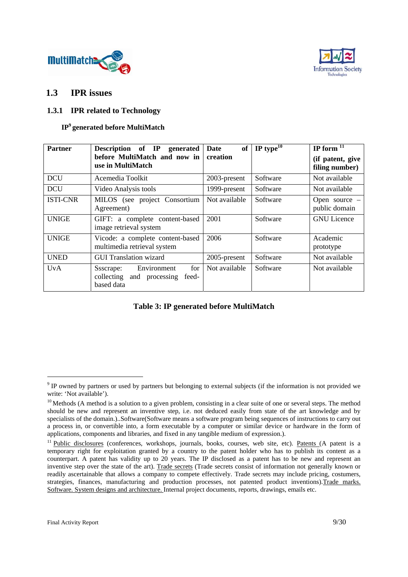



### **1.3 IPR issues**

#### **1.3.1 IPR related to Technology**

#### **IP9 generated before MultiMatch**

| <b>Partner</b>  | Description of IP<br>generated<br>before MultiMatch and now in<br>use in MultiMatch | <b>of</b><br>Date<br>creation | IP type $10$ | IP form $11$<br>(if patent, give<br>filing number) |
|-----------------|-------------------------------------------------------------------------------------|-------------------------------|--------------|----------------------------------------------------|
| <b>DCU</b>      | Acemedia Toolkit                                                                    | 2003-present                  | Software     | Not available                                      |
| <b>DCU</b>      | Video Analysis tools                                                                | 1999-present                  | Software     | Not available                                      |
| <b>ISTI-CNR</b> | MILOS (see project Consortium<br>Agreement)                                         | Not available                 | Software     | Open source $-$<br>public domain                   |
| <b>UNIGE</b>    | GIFT: a complete content-based<br>image retrieval system                            | 2001                          | Software     | <b>GNU</b> Licence                                 |
| <b>UNIGE</b>    | Vicode: a complete content-based<br>multimedia retrieval system                     | 2006                          | Software     | Academic<br>prototype                              |
| <b>UNED</b>     | <b>GUI Translation wizard</b>                                                       | 2005-present                  | Software     | Not available                                      |
| <b>UvA</b>      | for<br>Environment<br>Ssscrape:<br>collecting and processing<br>feed-<br>based data | Not available                 | Software     | Not available                                      |

#### **Table 3: IP generated before MultiMatch**

 $9$  IP owned by partners or used by partners but belonging to external subjects (if the information is not provided we write: 'Not available').

 $10$  Methods (A method is a solution to a given problem, consisting in a clear suite of one or several steps. The method should be new and represent an inventive step, i.e. not deduced easily from state of the art knowledge and by specialists of the domain.)..Software(Software means a software program being sequences of instructions to carry out a process in, or convertible into, a form executable by a computer or similar device or hardware in the form of applications, components and libraries, and fixed in any tangible medium of expression.).

<sup>&</sup>lt;sup>11</sup> Public disclosures (conferences, workshops, journals, books, courses, web site, etc). Patents (A patent is a temporary right for exploitation granted by a country to the patent holder who has to publish its content as a counterpart. A patent has validity up to 20 years. The IP disclosed as a patent has to be new and represent an inventive step over the state of the art). Trade secrets (Trade secrets consist of information not generally known or readily ascertainable that allows a company to compete effectively. Trade secrets may include pricing, costumers, strategies, finances, manufacturing and production processes, not patented product inventions).Trade marks. Software. System designs and architecture. Internal project documents, reports, drawings, emails etc.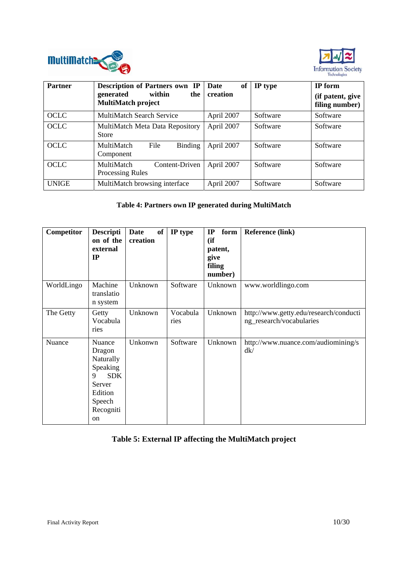



| <b>Partner</b> | <b>Description of Partners own IP</b>              | of<br><b>Date</b> | IP type  | IP form                            |
|----------------|----------------------------------------------------|-------------------|----------|------------------------------------|
|                | generated<br>within<br>the 1<br>MultiMatch project | creation          |          | (if patent, give<br>filing number) |
| <b>OCLC</b>    | <b>MultiMatch Search Service</b>                   | April 2007        | Software | Software                           |
| <b>OCLC</b>    | MultiMatch Meta Data Repository<br><b>Store</b>    | April 2007        | Software | Software                           |
| <b>OCLC</b>    | MultiMatch<br>File<br>Binding<br>Component         | April 2007        | Software | Software                           |
| OCLC           | MultiMatch<br>Content-Driven<br>Processing Rules   | April 2007        | Software | Software                           |
| <b>UNIGE</b>   | MultiMatch browsing interface                      | April 2007        | Software | Software                           |

### **Table 4: Partners own IP generated during MultiMatch**

| Competitor | <b>Descripti</b><br>on of the<br>external<br>IP                                                                | of<br>Date<br>creation | IP type          | form<br>$_{\rm IP}$<br>(ii)<br>patent,<br>give<br>filing<br>number) | <b>Reference (link)</b>                                            |
|------------|----------------------------------------------------------------------------------------------------------------|------------------------|------------------|---------------------------------------------------------------------|--------------------------------------------------------------------|
| WorldLingo | Machine<br>translatio<br>n system                                                                              | Unknown                | Software         | Unknown                                                             | www.worldlingo.com                                                 |
| The Getty  | Getty<br>Vocabula<br>ries                                                                                      | Unknown                | Vocabula<br>ries | Unknown                                                             | http://www.getty.edu/research/conducti<br>ng_research/vocabularies |
| Nuance     | Nuance<br>Dragon<br>Naturally<br>Speaking<br><b>SDK</b><br>9<br>Server<br>Edition<br>Speech<br>Recogniti<br>on | Unkonwn                | Software         | Unknown                                                             | http://www.nuance.com/audiomining/s<br>dk/                         |

## **Table 5: External IP affecting the MultiMatch project**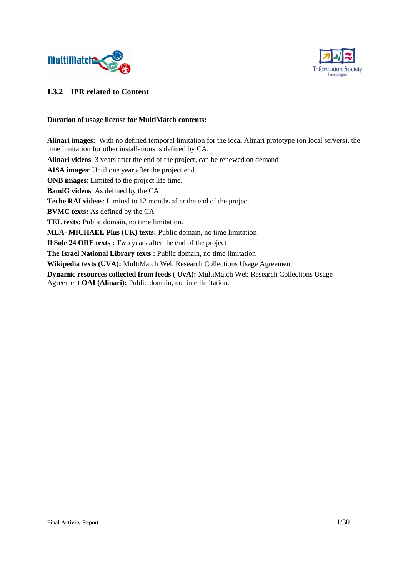



#### **1.3.2 IPR related to Content**

#### **Duration of usage license for MultiMatch contents:**

**Alinari images:** With no defined temporal limitation for the local Alinari prototype (on local servers), the time limitation for other installations is defined by CA. **Alinari videos**: 3 years after the end of the project, can be renewed on demand **AISA images**: Until one year after the project end. **ONB images**: Limited to the project life time. **BandG videos**: As defined by the CA **Teche RAI videos**: Limited to 12 months after the end of the project **BVMC texts:** As defined by the CA **TEL texts:** Public domain, no time limitation. **MLA- MICHAEL Plus (UK) texts:** Public domain, no time limitation **Il Sole 24 ORE texts :** Two years after the end of the project **The Israel National Library texts :** Public domain, no time limitation **Wikipedia texts (UVA):** MultiMatch Web Research Collections Usage Agreement **Dynamic resources collected from feeds** ( **UvA):** MultiMatch Web Research Collections Usage Agreement **OAI (Alinari):** Public domain, no time limitation.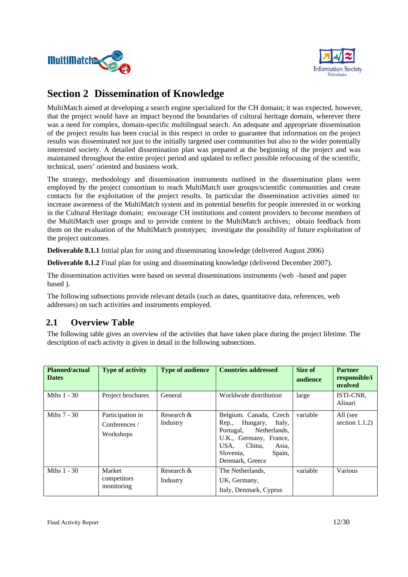



## **Section 2 Dissemination of Knowledge**

MultiMatch aimed at developing a search engine specialized for the CH domain; it was expected, however, that the project would have an impact beyond the boundaries of cultural heritage domain, wherever there was a need for complex, domain-specific multilingual search. An adequate and appropriate dissemination of the project results has been crucial in this respect in order to guarantee that information on the project results was disseminated not just to the initially targeted user communities but also to the wider potentially interested society. A detailed dissemination plan was prepared at the beginning of the project and was maintained throughout the entire project period and updated to reflect possible refocusing of the scientific, technical, users' oriented and business work.

The strategy, methodology and dissemination instruments outlined in the dissemination plans were employed by the project consortium to reach MultiMatch user groups/scientific communities and create contacts for the exploitation of the project results. In particular the dissemination activities aimed to: increase awareness of the MultiMatch system and its potential benefits for people interested in or working in the Cultural Heritage domain; encourage CH institutions and content providers to become members of the MultiMatch user groups and to provide content to the MultiMatch archives; obtain feedback from them on the evaluation of the MultiMatch prototypes; investigate the possibility of future exploitation of the project outcomes.

**Deliverable 8.1.1** Initial plan for using and disseminating knowledge (delivered August 2006)

**Deliverable 8.1.2** Final plan for using and disseminating knowledge (delivered December 2007).

The dissemination activities were based on several disseminations instruments (web –based and paper based ).

The following subsections provide relevant details (such as dates, quantitative data, references, web addresses) on such activities and instruments employed.

## **2.1 Overview Table**

The following table gives an overview of the activities that have taken place during the project lifetime. The description of each activity is given in detail in the following subsections.

| <b>Planned/actual</b><br><b>Dates</b> | <b>Type of activity</b>                        | <b>Type of audience</b> | <b>Countries addressed</b>                                                                                                                                                     | Size of<br>audience | <b>Partner</b><br>responsible/i<br>nvolved |
|---------------------------------------|------------------------------------------------|-------------------------|--------------------------------------------------------------------------------------------------------------------------------------------------------------------------------|---------------------|--------------------------------------------|
| Mths $1 - 30$                         | Project brochures                              | General                 | Worldwide distribution                                                                                                                                                         | large               | ISTI-CNR,<br>Alinari                       |
| Mths $7 - 30$                         | Participation in<br>Conferences /<br>Workshops | Research &<br>Industry  | Belgium. Canada, Czech<br>Hungary,<br>Italy,<br>Rep.,<br>Portugal, Netherlands,<br>U.K., Germany, France,<br>China,<br>USA.<br>Asia,<br>Slovenia,<br>Spain,<br>Denmark, Greece | variable            | All (see<br>section $1.1.2$ )              |
| Mths 1 - 30                           | Market<br>competitors<br>monitoring            | Research &<br>Industry  | The Netherlands.<br>UK, Germany,<br>Italy, Denmark, Cyprus                                                                                                                     | variable            | Various                                    |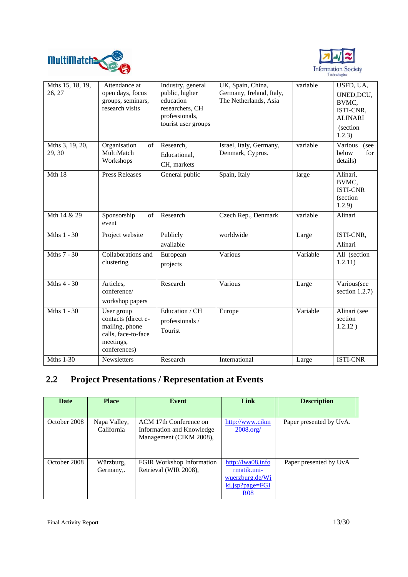



| Mths 15, 18, 19,<br>26, 27 | Attendance at<br>open days, focus<br>groups, seminars,<br>research visits                               | Industry, general<br>public, higher<br>education<br>researchers, CH<br>professionals,<br>tourist user groups | UK, Spain, China,<br>Germany, Ireland, Italy,<br>The Netherlands, Asia | variable | USFD, UA,<br>UNED, DCU,<br>BVMC,<br>ISTI-CNR,<br><b>ALINARI</b><br><i>(section)</i><br>1.2.3) |
|----------------------------|---------------------------------------------------------------------------------------------------------|--------------------------------------------------------------------------------------------------------------|------------------------------------------------------------------------|----------|-----------------------------------------------------------------------------------------------|
| Mths 3, 19, 20,<br>29, 30  | Organisation<br>of<br>MultiMatch<br>Workshops                                                           | Research,<br>Educational,<br>CH, markets                                                                     | Israel, Italy, Germany,<br>Denmark, Cyprus.                            | variable | Various<br>(see<br>below<br>for<br>details)                                                   |
| Mth 18                     | <b>Press Releases</b>                                                                                   | General public                                                                                               | Spain, Italy                                                           | large    | Alinari,<br>BVMC,<br><b>ISTI-CNR</b><br>(section<br>1.2.9)                                    |
| Mth 14 & 29                | Sponsorship<br>of<br>event                                                                              | Research                                                                                                     | Czech Rep., Denmark                                                    | variable | Alinari                                                                                       |
| Mths $1 - 30$              | Project website                                                                                         | Publicly<br>available                                                                                        | worldwide                                                              | Large    | ISTI-CNR,<br>Alinari                                                                          |
| Mths 7 - 30                | Collaborations and<br>clustering                                                                        | European<br>projects                                                                                         | Various                                                                | Variable | All (section<br>1.2.11)                                                                       |
| Mths 4 - 30                | Articles,<br>conference/<br>workshop papers                                                             | Research                                                                                                     | Various                                                                | Large    | Various(see<br>section $1.2.7$ )                                                              |
| Mths $1 - 30$              | User group<br>contacts (direct e-<br>mailing, phone<br>calls, face-to-face<br>meetings,<br>conferences) | Education / CH<br>professionals /<br>Tourist                                                                 | Europe                                                                 | Variable | Alinari (see<br>section<br>1.2.12)                                                            |
| <b>Mths 1-30</b>           | <b>Newsletters</b>                                                                                      | Research                                                                                                     | International                                                          | Large    | <b>ISTI-CNR</b>                                                                               |

# **2.2 Project Presentations / Representation at Events**

| <b>Date</b>  | <b>Place</b>               | Event                                                                          | Link                                                                                    | <b>Description</b>      |
|--------------|----------------------------|--------------------------------------------------------------------------------|-----------------------------------------------------------------------------------------|-------------------------|
|              |                            |                                                                                |                                                                                         |                         |
| October 2008 | Napa Valley,<br>California | ACM 17th Conference on<br>Information and Knowledge<br>Management (CIKM 2008), | http://www.cikm<br>2008.org/                                                            | Paper presented by UvA. |
| October 2008 | Würzburg,<br>Germany,.     | FGIR Workshop Information<br>Retrieval (WIR 2008),                             | http:// $lwa08.info$<br>rmatik.uni-<br>wuerzburg.de/Wi<br>ki.jsp?page=FGI<br><b>R08</b> | Paper presented by UvA  |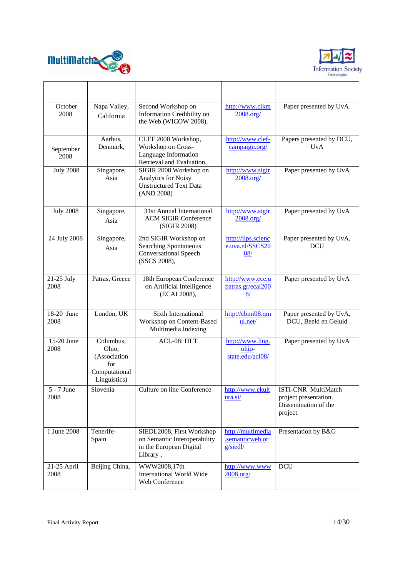



| October<br>2008     | Napa Valley,<br>California                                                 | Second Workshop on<br>Information Credibility on<br>the Web (WICOW 2008).                             | http://www.cikm<br>2008.org/                     | Paper presented by UvA.                                                                 |
|---------------------|----------------------------------------------------------------------------|-------------------------------------------------------------------------------------------------------|--------------------------------------------------|-----------------------------------------------------------------------------------------|
| September<br>2008   | Aarhus,<br>Denmark,                                                        | CLEF 2008 Workshop,<br>Workshop on Cross-<br>Language Information<br>Retrieval and Evaluation,        | http://www.clef-<br>campaign.org/                | Papers presented by DCU,<br>UvA                                                         |
| <b>July 2008</b>    | Singapore,<br>Asia                                                         | SIGIR 2008 Workshop on<br><b>Analytics for Noisy</b><br><b>Unstructured Text Data</b><br>(AND 2008)   | http://www.sigir<br>2008.org/                    | Paper presented by UvA                                                                  |
| <b>July 2008</b>    | Singapore,<br>Asia                                                         | 31st Annual International<br><b>ACM SIGIR Conference</b><br>(SIGIR 2008)                              | http://www.sigir<br>2008.org/                    | Paper presented by UvA                                                                  |
| 24 July 2008        | Singapore,<br>Asia                                                         | 2nd SIGIR Workshop on<br><b>Searching Spontaneous</b><br><b>Conversational Speech</b><br>(SSCS 2008), | http://ilps.scienc<br>e.uva.nl/SSCS20<br>08/     | Paper presented by UvA,<br>DCU                                                          |
| 21-25 July<br>2008  | Patras, Greece                                                             | 18th European Conference<br>on Artificial Intelligence<br>(ECAI 2008),                                | http://www.ece.u<br>patras.gr/ecai200<br>8/      | Paper presented by UvA                                                                  |
| 18-20 June<br>2008  | London, UK                                                                 | Sixth International<br>Workshop on Content-Based<br>Multimedia Indexing                               | http://cbmi08.qm<br>ul.net/                      | Paper presented by UvA,<br>DCU, Beeld en Geluid                                         |
| 15-20 June<br>2008  | Columbus,<br>Ohio.<br>(Association<br>for<br>Computational<br>Linguistics) | ACL-08: HLT                                                                                           | http://www.ling.<br>ohio-<br>state.edu/acl08/    | Paper presented by UvA                                                                  |
| 5 - 7 June<br>2008  | Slovenia                                                                   | Culture on line Conference                                                                            | http://www.ekult<br>urasi/                       | <b>ISTI-CNR MultiMatch</b><br>project presentation.<br>Dissemination of the<br>project. |
| 1 June 2008         | Tenerife-<br>Spain                                                         | SIEDL2008, First Workshop<br>on Semantic Interoperability<br>in the European Digital<br>Library,      | http://multimedia<br>.semanticweb.or<br>g/siedl/ | Presentation by B&G                                                                     |
| 21-25 April<br>2008 | Beijing China,                                                             | WWW2008,17th<br><b>International World Wide</b><br>Web Conference                                     | http://www.www<br>2008.org/                      | <b>DCU</b>                                                                              |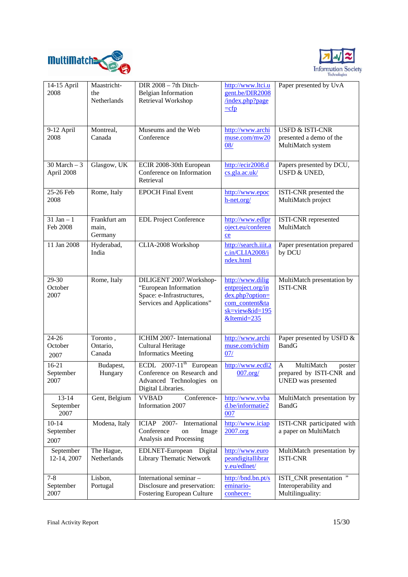



| 14-15 April<br>2008            | Maastricht-<br>the<br>Netherlands | DIR 2008 - 7th Ditch-<br><b>Belgian Information</b><br>Retrieval Workshop                                             | http://www.ltci.u<br>gent.be/DIR2008<br>index.php?page<br>$=cfp$                                                       | Paper presented by UvA                                                      |
|--------------------------------|-----------------------------------|-----------------------------------------------------------------------------------------------------------------------|------------------------------------------------------------------------------------------------------------------------|-----------------------------------------------------------------------------|
| 9-12 April<br>2008             | Montreal,<br>Canada               | Museums and the Web<br>Conference                                                                                     | http://www.archi<br>muse.com/mw20<br>08/                                                                               | <b>USFD &amp; ISTI-CNR</b><br>presented a demo of the<br>MultiMatch system  |
| $30$ March $-3$<br>April 2008  | Glasgow, UK                       | ECIR 2008-30th European<br>Conference on Information<br>Retrieval                                                     | http://ecir2008.d<br>cs.gla.ac.uk/                                                                                     | Papers presented by DCU,<br>USFD & UNED,                                    |
| 25-26 Feb<br>2008              | Rome, Italy                       | <b>EPOCH Final Event</b>                                                                                              | http://www.epoc<br>h-net.org/                                                                                          | ISTI-CNR presented the<br>MultiMatch project                                |
| $31$ Jan $-1$<br>Feb 2008      | Frankfurt am<br>main,<br>Germany  | <b>EDL Project Conference</b>                                                                                         | http://www.edlpr<br>oject.eu/conferen<br>ce                                                                            | ISTI-CNR represented<br>MultiMatch                                          |
| 11 Jan 2008                    | Hyderabad,<br>India               | CLIA-2008 Workshop                                                                                                    | http://search.iiit.a<br>c.in/CLIA2008/i<br>ndex.html                                                                   | Paper presentation prepared<br>by DCU                                       |
| 29-30<br>October<br>2007       | Rome, Italy                       | DILIGENT 2007. Workshop-<br>"European Information<br>Space: e-Infrastructures,<br>Services and Applications"          | http://www.dilig<br>entproject.org/in<br>$d$ ex.php?option=<br>com content&ta<br>$sk = view & id = 195$<br>&Itemid=235 | MultiMatch presentation by<br><b>ISTI-CNR</b>                               |
| $24 - 26$<br>October<br>2007   | Toronto,<br>Ontario,<br>Canada    | ICHIM 2007- International<br><b>Cultural Heritage</b><br><b>Informatics Meeting</b>                                   | http://www.archi<br>muse.com/ichim<br>07/                                                                              | Paper presented by USFD &<br><b>BandG</b>                                   |
| $16-21$<br>September<br>2007   | Budapest,<br>Hungary              | ECDL $2007-11$ <sup>th</sup> European<br>Conference on Research and<br>Advanced Technologies on<br>Digital Libraries. | http://www.ecdl2<br>007.org/                                                                                           | MultiMatch<br>A<br>poster<br>prepared by ISTI-CNR and<br>UNED was presented |
| $13 - 14$<br>September<br>2007 | Gent, Belgium                     | <b>VVBAD</b><br>Conference-<br>Information 2007                                                                       | http://www.vvba<br>d.be/informatie2<br>007                                                                             | MultiMatch presentation by<br><b>BandG</b>                                  |
| $10 - 14$<br>September<br>2007 | Modena, Italy                     | ICIAP 2007-<br>International<br>Conference<br>Image<br>on<br>Analysis and Processing                                  | http://www.iciap<br>2007.org                                                                                           | ISTI-CNR participated with<br>a paper on MultiMatch                         |
| September<br>12-14, 2007       | The Hague,<br>Netherlands         | EDLNET-European<br>Digital<br>Library Thematic Network                                                                | http://www.euro<br>peandigitallibrar<br>y.eu/edlnet/                                                                   | MultiMatch presentation by<br><b>ISTI-CNR</b>                               |
| $7 - 8$<br>September<br>2007   | Lisbon,<br>Portugal               | International seminar -<br>Disclosure and preservation:<br>Fostering European Culture                                 | http://bnd.bn.pt/s<br>eminario-<br>conhecer-                                                                           | ISTI_CNR presentation "<br>Interoperability and<br>Multilinguality:         |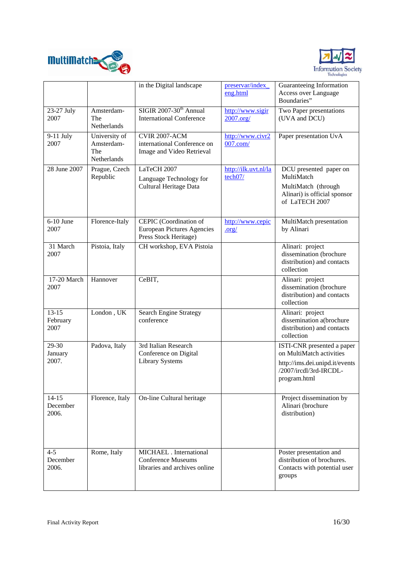



|                                |                                                   | in the Digital landscape                                                              | preservar/index<br>eng.html     | Guaranteeing Information<br>Access over Language<br>Boundaries"                                                                    |
|--------------------------------|---------------------------------------------------|---------------------------------------------------------------------------------------|---------------------------------|------------------------------------------------------------------------------------------------------------------------------------|
| 23-27 July<br>2007             | Amsterdam-<br>The<br>Netherlands                  | SIGIR 2007-30 <sup>th</sup> Annual<br><b>International Conference</b>                 | http://www.sigir<br>2007.org/   | Two Paper presentations<br>(UVA and DCU)                                                                                           |
| 9-11 July<br>2007              | University of<br>Amsterdam-<br>The<br>Netherlands | <b>CVIR 2007-ACM</b><br>international Conference on<br>Image and Video Retrieval      | http://www.civr2<br>$007$ .com/ | Paper presentation UvA                                                                                                             |
| 28 June 2007                   | Prague, Czech<br>Republic                         | LaTeCH 2007<br>Language Technology for<br>Cultural Heritage Data                      | http://ilk.uvt.nl/la<br>tech07/ | DCU presented paper on<br>MultiMatch<br>MultiMatch (through<br>Alinari) is official sponsor<br>of LaTECH 2007                      |
| $6-10$ June<br>2007            | Florence-Italy                                    | CEPIC (Coordination of<br><b>European Pictures Agencies</b><br>Press Stock Heritage)  | http://www.cepic<br>$.$ org $/$ | MultiMatch presentation<br>by Alinari                                                                                              |
| 31 March<br>2007               | Pistoia, Italy                                    | CH workshop, EVA Pistoia                                                              |                                 | Alinari: project<br>dissemination (brochure<br>distribution) and contacts<br>collection                                            |
| 17-20 March<br>2007            | Hannover                                          | CeBIT,                                                                                |                                 | Alinari: project<br>dissemination (brochure<br>distribution) and contacts<br>collection                                            |
| $13 - 15$<br>February<br>2007  | London, UK                                        | <b>Search Engine Strategy</b><br>conference                                           |                                 | Alinari: project<br>dissemination a(brochure<br>distribution) and contacts<br>collection                                           |
| 29-30<br>January<br>2007.      | Padova, Italy                                     | 3rd Italian Research<br>Conference on Digital<br><b>Library Systems</b>               |                                 | ISTI-CNR presented a paper<br>on MultiMatch activities<br>http://ims.dei.unipd.it/events<br>/2007/ircdl/3rd-IRCDL-<br>program.html |
| $14 - 15$<br>December<br>2006. | Florence, Italy                                   | On-line Cultural heritage                                                             |                                 | Project dissemination by<br>Alinari (brochure<br>distribution)                                                                     |
| $4 - 5$<br>December<br>2006.   | Rome, Italy                                       | MICHAEL . International<br><b>Conference Museums</b><br>libraries and archives online |                                 | Poster presentation and<br>distribution of brochures.<br>Contacts with potential user<br>groups                                    |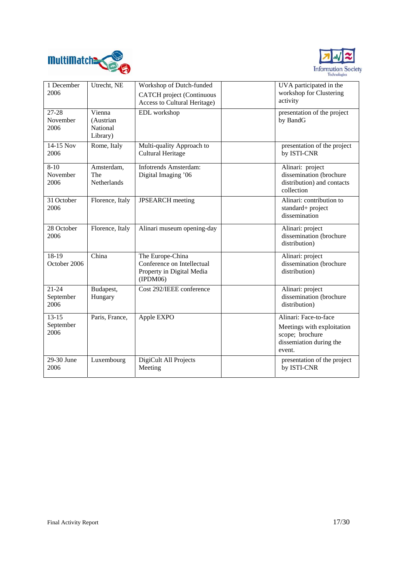



| 1 December<br>2006             | Utrecht, NE                                 | Workshop of Dutch-funded<br><b>CATCH</b> project (Continuous<br>Access to Cultural Heritage) | UVA participated in the<br>workshop for Clustering<br>activity                                              |
|--------------------------------|---------------------------------------------|----------------------------------------------------------------------------------------------|-------------------------------------------------------------------------------------------------------------|
| 27-28<br>November<br>2006      | Vienna<br>(Austrian<br>National<br>Library) | EDL workshop                                                                                 | presentation of the project<br>by BandG                                                                     |
| 14-15 Nov<br>2006              | Rome, Italy                                 | Multi-quality Approach to<br><b>Cultural Heritage</b>                                        | presentation of the project<br>by ISTI-CNR                                                                  |
| $8 - 10$<br>November<br>2006   | Amsterdam,<br>The<br>Netherlands            | <b>Infotrends Amsterdam:</b><br>Digital Imaging '06                                          | Alinari: project<br>dissemination (brochure<br>distribution) and contacts<br>collection                     |
| 31 October<br>2006             | Florence, Italy                             | <b>JPSEARCH</b> meeting                                                                      | Alinari: contribution to<br>standard+ project<br>dissemination                                              |
| 28 October<br>2006             | Florence, Italy                             | Alinari museum opening-day                                                                   | Alinari: project<br>dissemination (brochure<br>distribution)                                                |
| 18-19<br>October 2006          | China                                       | The Europe-China<br>Conference on Intellectual<br>Property in Digital Media<br>(IPDM06)      | Alinari: project<br>dissemination (brochure<br>distribution)                                                |
| $21 - 24$<br>September<br>2006 | Budapest,<br>Hungary                        | Cost 292/IEEE conference                                                                     | Alinari: project<br>dissemination (brochure<br>distribution)                                                |
| $13 - 15$<br>September<br>2006 | Paris, France,                              | Apple EXPO                                                                                   | Alinari: Face-to-face<br>Meetings with exploitation<br>scope; brochure<br>dissemiation during the<br>event. |
| 29-30 June<br>2006             | Luxembourg                                  | DigiCult All Projects<br>Meeting                                                             | presentation of the project<br>by ISTI-CNR                                                                  |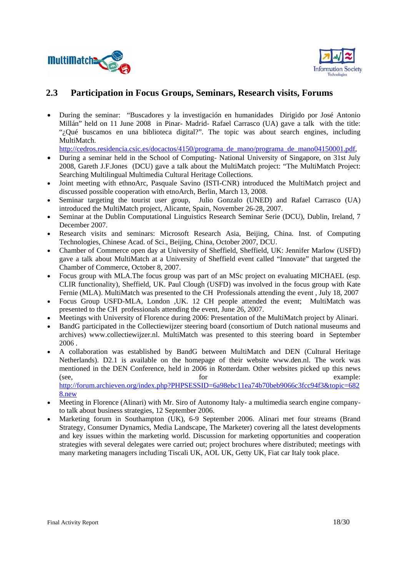



## **2.3 Participation in Focus Groups, Seminars, Research visits, Forums**

• During the seminar: "Buscadores y la investigación en humanidades Dirigido por José Antonio Millán" held on 11 June 2008 in Pinar- Madrid- Rafael Carrasco (UA) gave a talk with the title: "¿Qué buscamos en una biblioteca digital?". The topic was about search engines, including MultiMatch.

http://cedros.residencia.csic.es/docactos/4150/programa\_de\_mano/programa\_de\_mano04150001.pdf,

- During a seminar held in the School of Computing- National University of Singapore, on 31st July 2008, Gareth J.F.Jones (DCU) gave a talk about the MultiMatch project: "The MultiMatch Project: Searching Multilingual Multimedia Cultural Heritage Collections.
- Joint meeting with ethnoArc, Pasquale Savino (ISTI-CNR) introduced the MultiMatch project and discussed possible cooperation with etnoArch, Berlin, March 13, 2008.
- Seminar targeting the tourist user group, Julio Gonzalo (UNED) and Rafael Carrasco (UA) introduced the MultiMatch project, Alicante, Spain, November 26-28, 2007.
- Seminar at the Dublin Computational Linguistics Research Seminar Serie (DCU), Dublin, Ireland, 7 December 2007.
- Research visits and seminars: Microsoft Research Asia, Beijing, China. Inst. of Computing Technologies, Chinese Acad. of Sci., Beijing, China, October 2007, DCU.
- Chamber of Commerce open day at University of Sheffield, Sheffield, UK: Jennifer Marlow (USFD) gave a talk about MultiMatch at a University of Sheffield event called "Innovate" that targeted the Chamber of Commerce, October 8, 2007.
- Focus group with MLA.The focus group was part of an MSc project on evaluating MICHAEL (esp. CLIR functionality), Sheffield, UK. Paul Clough (USFD) was involved in the focus group with Kate Fernie (MLA). MultiMatch was presented to the CH Professionals attending the event , July 18, 2007
- Focus Group USFD-MLA, London ,UK. 12 CH people attended the event; MultiMatch was presented to the CH professionals attending the event, June 26, 2007.
- Meetings with University of Florence during 2006: Presentation of the MultiMatch project by Alinari.
- BandG participated in the Collectiewijzer steering board (consortium of Dutch national museums and archives) www.collectiewijzer.nl. MultiMatch was presented to this steering board in September 2006 .
- A collaboration was established by BandG between MultiMatch and DEN (Cultural Heritage Netherlands). D2.1 is available on the homepage of their website www.den.nl. The work was mentioned in the DEN Conference, held in 2006 in Rotterdam. Other websites picked up this news (see, for for example: http://forum.archieven.org/index.php?PHPSESSID=6a98ebc11ea74b70beb9066c3fcc94f3&topic=682

8.new

- Meeting in Florence (Alinari) with Mr. Siro of Autonomy Italy- a multimedia search engine companyto talk about business strategies, 12 September 2006.
- Marketing forum in Southampton (UK), 6-9 September 2006. Alinari met four streams (Brand Strategy, Consumer Dynamics, Media Landscape, The Marketer) covering all the latest developments and key issues within the marketing world. Discussion for marketing opportunities and cooperation strategies with several delegates were carried out; project brochures where distributed; meetings with many marketing managers including Tiscali UK, AOL UK, Getty UK, Fiat car Italy took place.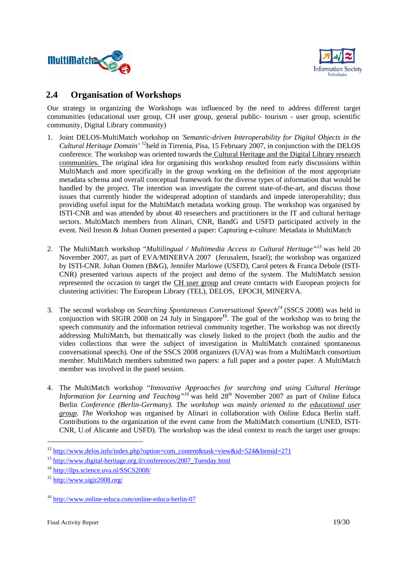



## **2.4 Organisation of Workshops**

Our strategy in organizing the Workshops was influenced by the need to address different target communities (educational user group, CH user group, general public- tourism - user group, scientific community, Digital Library community)

- 1. Joint DELOS-MultiMatch workshop on *'Semantic-driven Interoperability for Digital Objects in the Cultural Heritage Domain'* 12held in Tirrenia, Pisa, 15 February 2007, in conjunction with the DELOS conference. The workshop was oriented towards the Cultural Heritage and the Digital Library research communities. The original idea for organising this workshop resulted from early discussions within MultiMatch and more specifically in the group working on the definition of the most appropriate metadata schema and overall conceptual framework for the diverse types of information that would be handled by the project. The intention was investigate the current state-of-the-art, and discuss those issues that currently hinder the widespread adoption of standards and impede interoperability; thus providing useful input for the MultiMatch metadata working group. The workshop was organised by ISTI-CNR and was attended by about 40 researchers and practitioners in the IT and cultural heritage sectors. MultiMatch members from Alinari, CNR, BandG and USFD participated actively in the event. Neil Ireson & Johan Oomen presented a paper: Capturing e-culture: Metadata in MultiMatch
- 2. The MultiMatch workshop "*Multilingual / Multimedia Access to Cultural Heritage"<sup>13</sup>* was held 20 November 2007, as part of EVA/MINERVA 2007 (Jerusalem, Israel); the workshop was organized by ISTI-CNR. Johan Oomen (B&G), Jennifer Marlowe (USFD), Carol peters & Franca Debole (ISTI-CNR) presented various aspects of the project and demo of the system. The MultiMatch session represented the occasion to target the CH user group and create contacts with European projects for clustering activities: The European Library (TEL), DELOS, EPOCH, MINERVA.
- 3. The second workshop on *Searching Spontaneous Conversational Speech<sup>14</sup>* (SSCS 2008) was held in conjunction with SIGIR 2008 on 24 July in Singapore**<sup>15</sup>**. The goal of the workshop was to bring the speech community and the information retrieval community together. The workshop was not directly addressing MultiMatch, but thematically was closely linked to the project (both the audio and the video collections that were the subject of investigation in MultiMatch contained spontaneous conversational speech). One of the SSCS 2008 organizers (UVA) was from a MultiMatch consortium member. MultiMatch members submitted two papers: a full paper and a poster paper. A MultiMatch member was involved in the panel session.
- 4. The MultiMatch workshop "*Innovative Approaches for searching and using Cultural Heritage Information for Learning and Teaching*<sup>"*16*</sup> was held 28<sup>th</sup> November 2007 as part of Online Educa Berlin *Conference (Berlin-Germany). The workshop was mainly oriented to the educational user group. Th*e Workshop was organised by Alinari in collaboration with Online Educa Berlin staff. Contributions to the organization of the event came from the MultiMatch consortium (UNED, ISTI-CNR, U.of Alicante and USFD). The workshop was the ideal context to reach the target user groups:

<sup>&</sup>lt;sup>12</sup> http://www.delos.info/index.php?option=com\_content&task=view&id=524&Itemid=271

<sup>&</sup>lt;sup>13</sup> http://www.digital-heritage.org.il/conferences/2007 Tuesday.html

<sup>14</sup> http://ilps.science.uva.nl/SSCS2008/

<sup>15</sup> http://www.sigir2008.org/

<sup>16</sup> http://www.online-educa.com/online-educa-berlin-07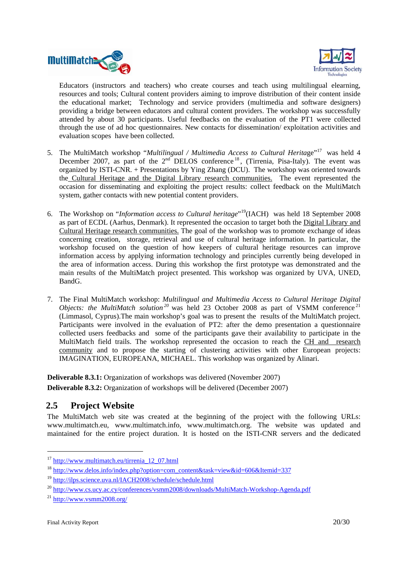



Educators (instructors and teachers) who create courses and teach using multilingual elearning, resources and tools; Cultural content providers aiming to improve distribution of their content inside the educational market; Technology and service providers (multimedia and software designers) providing a bridge between educators and cultural content providers. The workshop was successfully attended by about 30 participants. Useful feedbacks on the evaluation of the PT1 were collected through the use of ad hoc questionnaires. New contacts for dissemination/ exploitation activities and evaluation scopes have been collected.

- 5. The MultiMatch workshop "*Multilingual / Multimedia Access to Cultural Heritage*"<sup>17</sup> was held 4 December 2007, as part of the  $2<sup>nd</sup>$  DELOS conference <sup>18</sup>, (Tirrenia, Pisa-Italy). The event was organized by ISTI-CNR. + Presentations by Ying Zhang (DCU). The workshop was oriented towards the Cultural Heritage and the Digital Library research communities. The event represented the occasion for disseminating and exploiting the project results: collect feedback on the MultiMatch system, gather contacts with new potential content providers.
- 6. The Workshop on "*Information access to Cultural heritage*" 19(IACH) was held 18 September 2008 as part of ECDL (Aarhus, Denmark). It represented the occasion to target both the Digital Library and Cultural Heritage research communities. The goal of the workshop was to promote exchange of ideas concerning creation, storage, retrieval and use of cultural heritage information. In particular, the workshop focused on the question of how keepers of cultural heritage resources can improve information access by applying information technology and principles currently being developed in the area of information access. During this workshop the first prototype was demonstrated and the main results of the MultiMatch project presented. This workshop was organized by UVA, UNED, BandG.
- 7. The Final MultiMatch workshop: *Multilingual and Multimedia Access to Cultural Heritage Digital Objects: the MultiMatch solution*<sup>20</sup> was held 23 October 2008 as part of VSMM conference<sup>21</sup> (Limmasol, Cyprus).The main workshop's goal was to present the results of the MultiMatch project. Participants were involved in the evaluation of PT2: after the demo presentation a questionnaire collected users feedbacks and some of the participants gave their availability to participate in the MultiMatch field trails. The workshop represented the occasion to reach the CH and research community and to propose the starting of clustering activities with other European projects: IMAGINATION, EUROPEANA, MICHAEL. This workshop was organized by Alinari.

**Deliverable 8.3.1:** Organization of workshops was delivered (November 2007) **Deliverable 8.3.2:** Organization of workshops will be delivered (December 2007)

## **2.5 Project Website**

The MultiMatch web site was created at the beginning of the project with the following URLs: www.multimatch.eu, www.multimatch.info, www.multimatch.org. The website was updated and maintained for the entire project duration. It is hosted on the ISTI-CNR servers and the dedicated

<sup>&</sup>lt;sup>17</sup> http://www.multimatch.eu/tirrenia\_12\_07.html

<sup>&</sup>lt;sup>18</sup> http://www.delos.info/index.php?option=com\_content&task=view&id=606&Itemid=337

<sup>19</sup> http://ilps.science.uva.nl/IACH2008/schedule/schedule.html

<sup>20</sup> http://www.cs.ucy.ac.cy/conferences/vsmm2008/downloads/MultiMatch-Workshop-Agenda.pdf

 $^{21}$  http://www.vsmm2008.org/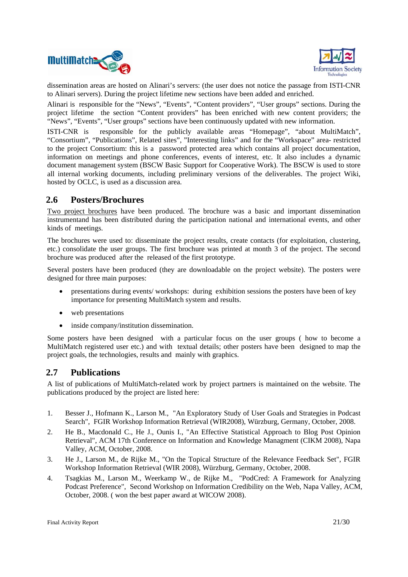



dissemination areas are hosted on Alinari's servers: (the user does not notice the passage from ISTI-CNR to Alinari servers). During the project lifetime new sections have been added and enriched.

Alinari is responsible for the "News", "Events", "Content providers", "User groups" sections. During the project lifetime the section "Content providers" has been enriched with new content providers; the "News", "Events", "User groups" sections have been continuously updated with new information.

ISTI-CNR is responsible for the publicly available areas "Homepage", "about MultiMatch", "Consortium", "Publications", Related sites", "Interesting links" and for the "Workspace" area- restricted to the project Consortium: this is a password protected area which contains all project documentation, information on meetings and phone conferences, events of interest, etc. It also includes a dynamic document management system (BSCW Basic Support for Cooperative Work). The BSCW is used to store all internal working documents, including preliminary versions of the deliverables. The project Wiki, hosted by OCLC, is used as a discussion area.

### **2.6 Posters/Brochures**

Two project brochures have been produced. The brochure was a basic and important dissemination instrumentand has been distributed during the participation national and international events, and other kinds of meetings.

The brochures were used to: disseminate the project results, create contacts (for exploitation, clustering, etc.) consolidate the user groups. The first brochure was printed at month 3 of the project. The second brochure was produced after the released of the first prototype.

Several posters have been produced (they are downloadable on the project website). The posters were designed for three main purposes:

- presentations during events/ workshops: during exhibition sessions the posters have been of key importance for presenting MultiMatch system and results.
- web presentations
- inside company/institution dissemination.

Some posters have been designed with a particular focus on the user groups ( how to become a MultiMatch registered user etc.) and with textual details; other posters have been designed to map the project goals, the technologies, results and mainly with graphics.

## **2.7 Publications**

A list of publications of MultiMatch-related work by project partners is maintained on the website. The publications produced by the project are listed here:

- 1. Besser J., Hofmann K., Larson M., "An Exploratory Study of User Goals and Strategies in Podcast Search", FGIR Workshop Information Retrieval (WIR2008), Würzburg, Germany, October, 2008.
- 2. He B., Macdonald C., He J., Ounis I., "An Effective Statistical Approach to Blog Post Opinion Retrieval", ACM 17th Conference on Information and Knowledge Managment (CIKM 2008), Napa Valley, ACM, October, 2008.
- 3. He J., Larson M., de Rijke M., "On the Topical Structure of the Relevance Feedback Set", FGIR Workshop Information Retrieval (WIR 2008), Würzburg, Germany, October, 2008.
- 4. Tsagkias M., Larson M., Weerkamp W., de Rijke M., "PodCred: A Framework for Analyzing Podcast Preference", Second Workshop on Information Credibility on the Web, Napa Valley, ACM, October, 2008. ( won the best paper award at WICOW 2008).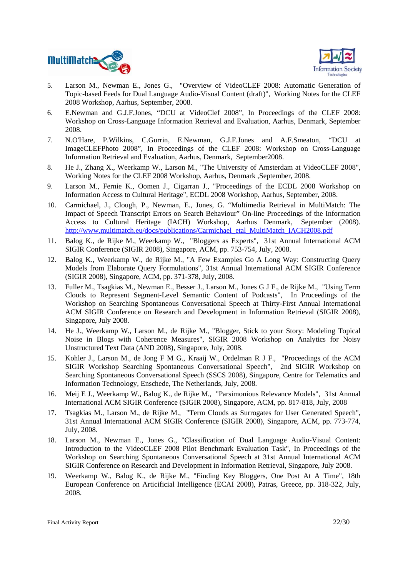



- 5. Larson M., Newman E., Jones G., "Overview of VideoCLEF 2008: Automatic Generation of Topic-based Feeds for Dual Language Audio-Visual Content (draft)", Working Notes for the CLEF 2008 Workshop, Aarhus, September, 2008.
- 6. E.Newman and G.J.F.Jones, "DCU at VideoClef 2008", In Proceedings of the CLEF 2008: Workshop on Cross-Language Information Retrieval and Evaluation, Aarhus, Denmark, September 2008.
- 7. N.O'Hare, P.Wilkins, C.Gurrin, E.Newman, G.J.F.Jones and A.F.Smeaton, "DCU at ImageCLEFPhoto 2008", In Proceedings of the CLEF 2008: Workshop on Cross-Language Information Retrieval and Evaluation, Aarhus, Denmark, September2008.
- 8. He J., Zhang X., Weerkamp W., Larson M., "The University of Amsterdam at VideoCLEF 2008", Working Notes for the CLEF 2008 Workshop, Aarhus, Denmark ,September, 2008.
- 9. Larson M., Fernie K., Oomen J., Cigarran J., "Proceedings of the ECDL 2008 Workshop on Information Access to Cultural Heritage", ECDL 2008 Workshop, Aarhus, September, 2008.
- 10. Carmichael, J., Clough, P., Newman, E., Jones, G. "Multimedia Retrieval in MultiMatch: The Impact of Speech Transcript Errors on Search Behaviour" On-line Proceedings of the Information Access to Cultural Heritage (IACH) Workshop, Aarhus Denmark, September (2008). http://www.multimatch.eu/docs/publications/Carmichael\_etal\_MultiMatch\_IACH2008.pdf
- 11. Balog K., de Rijke M., Weerkamp W., "Bloggers as Experts", 31st Annual International ACM SIGIR Conference (SIGIR 2008), Singapore, ACM, pp. 753-754, July, 2008.
- 12. Balog K., Weerkamp W., de Rijke M., "A Few Examples Go A Long Way: Constructing Query Models from Elaborate Query Formulations", 31st Annual International ACM SIGIR Conference (SIGIR 2008), Singapore, ACM, pp. 371-378, July, 2008.
- 13. Fuller M., Tsagkias M., Newman E., Besser J., Larson M., Jones G J F., de Rijke M., "Using Term Clouds to Represent Segment-Level Semantic Content of Podcasts", In Proceedings of the Workshop on Searching Spontaneous Conversational Speech at Thirty-First Annual International ACM SIGIR Conference on Research and Development in Information Retrieval (SIGIR 2008), Singapore, July 2008.
- 14. He J., Weerkamp W., Larson M., de Rijke M., "Blogger, Stick to your Story: Modeling Topical Noise in Blogs with Coherence Measures", SIGIR 2008 Workshop on Analytics for Noisy Unstructured Text Data (AND 2008), Singapore, July, 2008.
- 15. Kohler J., Larson M., de Jong F M G., Kraaij W., Ordelman R J F., "Proceedings of the ACM SIGIR Workshop Searching Spontaneous Conversational Speech", 2nd SIGIR Workshop on Searching Spontaneous Conversational Speech (SSCS 2008), Singapore, Centre for Telematics and Information Technology, Enschede, The Netherlands, July, 2008.
- 16. Meij E J., Weerkamp W., Balog K., de Rijke M., "Parsimonious Relevance Models", 31st Annual International ACM SIGIR Conference (SIGIR 2008), Singapore, ACM, pp. 817-818, July, 2008
- 17. Tsagkias M., Larson M., de Rijke M., "Term Clouds as Surrogates for User Generated Speech", 31st Annual International ACM SIGIR Conference (SIGIR 2008), Singapore, ACM, pp. 773-774, July, 2008.
- 18. Larson M., Newman E., Jones G., "Classification of Dual Language Audio-Visual Content: Introduction to the VideoCLEF 2008 Pilot Benchmark Evaluation Task", In Proceedings of the Workshop on Searching Spontaneous Conversational Speech at 31st Annual International ACM SIGIR Conference on Research and Development in Information Retrieval, Singapore, July 2008.
- 19. Weerkamp W., Balog K., de Rijke M., "Finding Key Bloggers, One Post At A Time", 18th European Conference on Articificial Intelligence (ECAI 2008), Patras, Greece, pp. 318-322, July, 2008.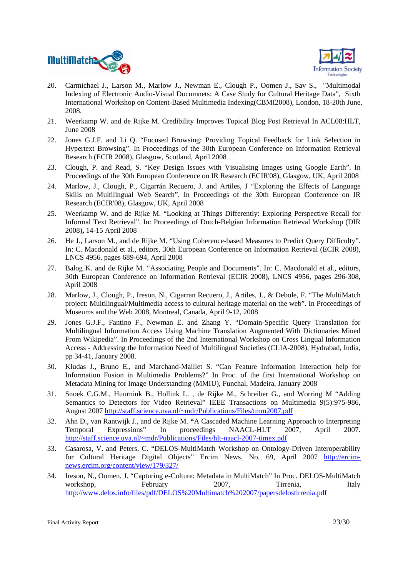



- 20. Carmichael J., Larson M., Marlow J., Newman E., Clough P., Oomen J., Sav S., "Multimodal Indexing of Electronic Audio-Visual Documnets: A Case Study for Cultural Heritage Data", Sixth International Workshop on Content-Based Multimedia Indexing(CBMI2008), London, 18-20th June, 2008.
- 21. Weerkamp W. and de Rijke M. Credibility Improves Topical Blog Post Retrieval In ACL08:HLT, June 2008
- 22. Jones G.J.F. and Li Q. "Focused Browsing: Providing Topical Feedback for Link Selection in Hypertext Browsing". In Proceedings of the 30th European Conference on Information Retrieval Research (ECIR 2008), Glasgow, Scotland, April 2008
- 23. Clough, P. and Read, S. "Key Design Issues with Visualising Images using Google Earth". In Proceedings of the 30th European Conference on IR Research (ECIR'08), Glasgow, UK, April 2008
- 24. Marlow, J., Clough, P., Cigarrán Recuero, J. and Artiles, J "Exploring the Effects of Language Skills on Multilingual Web Search". In Proceedings of the 30th European Conference on IR Research (ECIR'08), Glasgow, UK, April 2008
- 25. Weerkamp W. and de Rijke M. "Looking at Things Differently: Exploring Perspective Recall for Informal Text Retrieval". In: Proceedings of Dutch-Belgian Information Retrieval Workshop (DIR 2008)**,** 14-15 April 2008
- 26. He J., Larson M., and de Rijke M. "Using Coherence-based Measures to Predict Query Difficulty". In: C. Macdonald et al., editors, 30th European Conference on Information Retrieval (ECIR 2008), LNCS 4956, pages 689-694, April 2008
- 27. Balog K. and de Rijke M. "Associating People and Documents". In: C. Macdonald et al., editors, 30th European Conference on Information Retrieval (ECIR 2008), LNCS 4956, pages 296-308, April 2008
- 28. Marlow, J., Clough, P., Ireson, N., Cigarran Recuero, J., Artiles, J., & Debole, F. "The MultiMatch project: Multilingual/Multimedia access to cultural heritage material on the web". In Proceedings of Museums and the Web 2008, Montreal, Canada, April 9-12, 2008
- 29. Jones G.J.F., Fantino F., Newman E. and Zhang Y. "Domain-Specific Query Translation for Multilingual Information Access Using Machine Translation Augmented With Dictionaries Mined From Wikipedia". In Proceedings of the 2nd International Workshop on Cross Lingual Information Access - Addressing the Information Need of Multilingual Societies (CLIA-2008), Hydrabad, India, pp 34-41, January 2008.
- 30. Kludas J., Bruno E., and Marchand-Maillet S. "Can Feature Information Interaction help for Information Fusion in Multimedia Problems?" In Proc. of the first International Workshop on Metadata Mining for Image Understanding (MMIU), Funchal, Madeira, January 2008
- 31. Snoek C.G.M., Huurnink B., Hollink L. , de Rijke M., Schreiber G., and Worring M "Adding Semantics to Detectors for Video Retrieval" IEEE Transactions on Multimedia 9(5):975-986, August 2007 http://staff.science.uva.nl/~mdr/Publications/Files/tmm2007.pdf
- 32. Ahn D., van Rantwijk J., and de Rijke M. **"**A Cascaded Machine Learning Approach to Interpreting Temporal Expressions" In proceedings NAACL-HLT 2007, April 2007. http://staff.science.uva.nl/~mdr/Publications/Files/hlt-naacl-2007-timex.pdf
- 33. Casarosa, V. and Peters, C. "DELOS-MultiMatch Workshop on Ontology-Driven Interoperability for Cultural Heritage Digital Objects" Ercim News, No. 69, April 2007 http://ercimnews.ercim.org/content/view/179/327/
- 34. Ireson, N., Oomen, J. "Capturing e-Culture: Metadata in MultiMatch" In Proc. DELOS-MultiMatch workshop, February 2007, Tirrenia, Italy http://www.delos.info/files/pdf/DELOS%20Multimatch%202007/papersdelostirrenia.pdf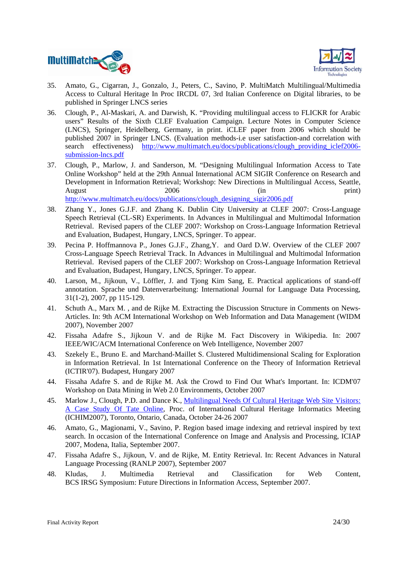



- 35. Amato, G., Cigarran, J., Gonzalo, J., Peters, C., Savino, P. MultiMatch Multilingual/Multimedia Access to Cultural Heritage In Proc IRCDL 07, 3rd Italian Conference on Digital libraries, to be published in Springer LNCS series
- 36. Clough, P., Al-Maskari, A. and Darwish, K. "Providing multilingual access to FLICKR for Arabic users" Results of the Sixth CLEF Evaluation Campaign. Lecture Notes in Computer Science (LNCS), Springer, Heidelberg, Germany, in print. iCLEF paper from 2006 which should be published 2007 in Springer LNCS. (Evaluation methods-i.e user satisfaction-and correlation with search effectiveness) http://www.multimatch.eu/docs/publications/clough providing iclef2006submission-lncs.pdf
- 37. Clough, P., Marlow, J. and Sanderson, M. "Designing Multilingual Information Access to Tate Online Workshop" held at the 29th Annual International ACM SIGIR Conference on Research and Development in Information Retrieval; Workshop: New Directions in Multilingual Access, Seattle, August 2006 (in print) http://www.multimatch.eu/docs/publications/clough\_designing\_sigir2006.pdf
- 38. Zhang Y., Jones G.J.F. and Zhang K. Dublin City University at CLEF 2007: Cross-Language Speech Retrieval (CL-SR) Experiments. In Advances in Multilingual and Multimodal Information Retrieval. Revised papers of the CLEF 2007: Workshop on Cross-Language Information Retrieval and Evaluation, Budapest, Hungary, LNCS, Springer. To appear.
- 39. Pecina P. Hoffmannova P., Jones G.J.F., Zhang,Y. and Oard D.W. Overview of the CLEF 2007 Cross-Language Speech Retrieval Track. In Advances in Multilingual and Multimodal Information Retrieval. Revised papers of the CLEF 2007: Workshop on Cross-Language Information Retrieval and Evaluation, Budapest, Hungary, LNCS, Springer. To appear.
- 40. Larson, M., Jijkoun, V., Löffler, J. and Tjong Kim Sang, E. Practical applications of stand-off annotation. Sprache und Datenverarbeitung: International Journal for Language Data Processing, 31(1-2), 2007, pp 115-129.
- 41. Schuth A., Marx M. , and de Rijke M. Extracting the Discussion Structure in Comments on News-Articles. In: 9th ACM International Workshop on Web Information and Data Management (WIDM 2007), November 2007
- 42. Fissaha Adafre S., Jijkoun V. and de Rijke M. Fact Discovery in Wikipedia. In: 2007 IEEE/WIC/ACM International Conference on Web Intelligence, November 2007
- 43. Szekely E., Bruno E. and Marchand-Maillet S. Clustered Multidimensional Scaling for Exploration in Information Retrieval. In 1st International Conference on the Theory of Information Retrieval (ICTIR'07). Budapest, Hungary 2007
- 44. Fissaha Adafre S. and de Rijke M. Ask the Crowd to Find Out What's Important. In: ICDM'07 Workshop on Data Mining in Web 2.0 Environments, October 2007
- 45. Marlow J., Clough, P.D. and Dance K., Multilingual Needs Of Cultural Heritage Web Site Visitors: A Case Study Of Tate Online, Proc. of International Cultural Heritage Informatics Meeting (ICHIM2007), Toronto, Ontario, Canada, October 24-26 2007
- 46. Amato, G., Magionami, V., Savino, P. Region based image indexing and retrieval inspired by text search. In occasion of the International Conference on Image and Analysis and Processing, ICIAP 2007, Modena, Italia, September 2007.
- 47. Fissaha Adafre S., Jijkoun, V. and de Rijke, M. Entity Retrieval. In: Recent Advances in Natural Language Processing (RANLP 2007), September 2007
- 48. Kludas, J. Multimedia Retrieval and Classification for Web Content, BCS IRSG Symposium: Future Directions in Information Access, September 2007.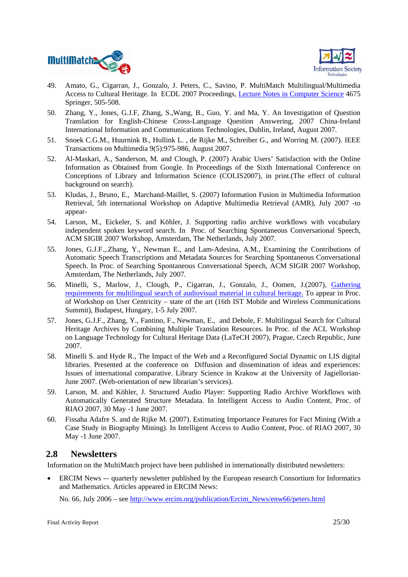



- 49. Amato, G., Cigarran, J., Gonzalo, J. Peters, C., Savino, P. MultiMatch Multilingual/Multimedia Access to Cultural Heritage. In ECDL 2007 Proceedings, Lecture Notes in Computer Science 4675 Springer, 505-508.
- 50. Zhang, Y., Jones, G.J.F, Zhang, S.,Wang, B., Guo, Y. and Ma, Y. An Investigation of Question Translation for English-Chinese Cross-Language Question Answering, 2007 China-Ireland International Information and Communications Technologies, Dublin, Ireland, August 2007.
- 51. Snoek C.G.M., Huurnink B., Hollink L. , de Rijke M., Schreiber G., and Worring M. (2007). IEEE Transactions on Multimedia 9(5):975-986, August 2007.
- 52. Al-Maskari, A., Sanderson, M. and Clough, P. (2007) Arabic Users' Satisfaction with the Online Information as Obtained from Google. In Proceedings of the Sixth International Conference on Conceptions of Library and Information Science (COLIS2007), in print.(The effect of cultural background on search).
- 53. Kludas, J., Bruno, E., Marchand-Maillet, S. (2007) Information Fusion in Multimedia Information Retrieval, 5th international Workshop on Adaptive Multimedia Retrieval (AMR), July 2007 -to appear-
- 54. Larson, M., Eickeler, S. and Köhler, J. Supporting radio archive workflows with vocabulary independent spoken keyword search. In Proc. of Searching Spontaneous Conversational Speech, ACM SIGIR 2007 Workshop, Amsterdam, The Netherlands, July 2007.
- 55. Jones, G.J.F.,.Zhang, Y., Newman E., and Lam-Adesina, A.M., Examining the Contributions of Automatic Speech Transcriptions and Metadata Sources for Searching Spontaneous Conversational Speech. In Proc. of Searching Spontaneous Conversational Speech, ACM SIGIR 2007 Workshop, Amsterdam, The Netherlands, July 2007.
- 56. Minelli, S., Marlow, J., Clough, P., Cigarran, J., Gonzalo, J., Oomen, J.(2007), Gathering requirements for multilingual search of audiovisual material in cultural heritage. To appear in Proc. of Workshop on User Centricity – state of the art (16th IST Mobile and Wireless Communications Summit), Budapest, Hungary, 1-5 July 2007.
- 57. Jones, G.J.F., Zhang, Y., Fantino, F., Newman, E., and Debole, F. Multilingual Search for Cultural Heritage Archives by Combining Multiple Translation Resources. In Proc. of the ACL Workshop on Language Technology for Cultural Heritage Data (LaTeCH 2007), Prague, Czech Republic, June 2007.
- 58. Minelli S. and Hyde R., The Impact of the Web and a Reconfigured Social Dynamic on LIS digital libraries. Presented at the conference on Diffusion and dissemination of ideas and experiences: Issues of international comparative. Library Science in Krakow at the University of Jagiellorian-June 2007. (Web-orientation of new librarian's services).
- 59. Larson, M. and Köhler, J. Structured Audio Player: Supporting Radio Archive Workflows with Automatically Generated Structure Metadata. In Intelligent Access to Audio Content, Proc. of RIAO 2007, 30 May -1 June 2007.
- 60. Fissaha Adafre S. and de Rijke M. (2007). Estimating Importance Features for Fact Mining (With a Case Study in Biography Mining). In Intelligent Access to Audio Content, Proc. of RIAO 2007, 30 May -1 June 2007.

## **2.8 Newsletters**

Information on the MultiMatch project have been published in internationally distributed newsletters:

• ERCIM News -– quarterly newsletter published by the European research Consortium for Informatics and Mathematics. Articles appeared in ERCIM News:

No. 66, July 2006 – see http://www.ercim.org/publication/Ercim\_News/enw66/peters.html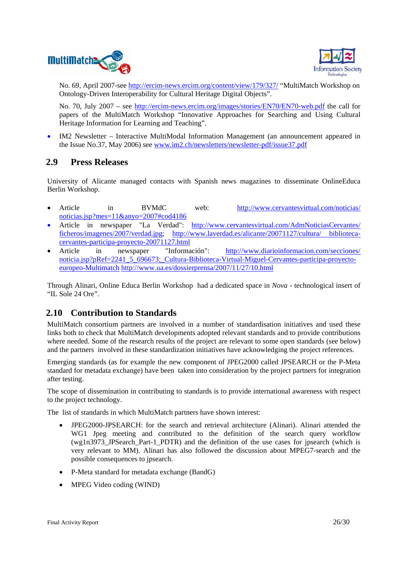



No. 69, April 2007-see http://ercim-news.ercim.org/content/view/179/327/ "MultiMatch Workshop on Ontology-Driven Interoperability for Cultural Heritage Digital Objects".

No. 70, July 2007 – see http://ercim-news.ercim.org/images/stories/EN70/EN70-web.pdf the call for papers of the MultiMatch Workshop "Innovative Approaches for Searching and Using Cultural Heritage Information for Learning and Teaching".

• IM2 Newsletter – Interactive MultiModal Information Management (an announcement appeared in the Issue No.37, May 2006) see www.im2.ch/newsletters/newsletter-pdf/issue37.pdf

### **2.9 Press Releases**

University of Alicante managed contacts with Spanish news magazines to disseminate OnlineEduca Berlin Workshop.

- Article in BVMdC web: http://www.cervantesvirtual.com/noticias/ noticias.jsp?mes=11&anyo=2007#cod4186
- Article in newspaper "La Verdad": http://www.cervantesvirtual.com/AdmNoticiasCervantes/ ficheros/imagenes/2007/verdad.jpg; http://www.laverdad.es/alicante/20071127/cultura/ bibliotecacervantes-participa-proyecto-20071127.html
- Article in newspaper "Información": http://www.diarioinformacion.com/secciones/ noticia.jsp?pRef=2241\_5\_696673;\_Cultura-Biblioteca-Virtual-Miguel-Cervantes-participa-proyectoeuropeo-Multimatch http://www.ua.es/dossierprensa/2007/11/27/10.html

Through Alinari, Online Educa Berlin Workshop had a dedicated space in *Nova* - technological insert of "IL Sole 24 Ore".

## **2.10 Contribution to Standards**

MultiMatch consortium partners are involved in a number of standardisation initiatives and used these links both to check that MultiMatch developments adopted relevant standards and to provide contributions where needed. Some of the research results of the project are relevant to some open standards (see below) and the partners involved in these standardization initiatives have acknowledging the project references.

Emerging standards (as for example the new component of JPEG2000 called JPSEARCH or the P-Meta standard for metadata exchange) have been taken into consideration by the project partners for integration after testing.

The scope of dissemination in contributing to standards is to provide international awareness with respect to the project technology.

The list of standards in which MultiMatch partners have shown interest:

- JPEG2000-JPSEARCH: for the search and retrieval architecture (Alinari). Alinari attended the WG1 Jpeg meeting and contributed to the definition of the search query workflow (wg1n3973\_JPSearch\_Part-1\_PDTR) and the definition of the use cases for jpsearch (which is very relevant to MM). Alinari has also followed the discussion about MPEG7-search and the possible consequences to jpsearch.
- P-Meta standard for metadata exchange (BandG)
- MPEG Video coding (WIND)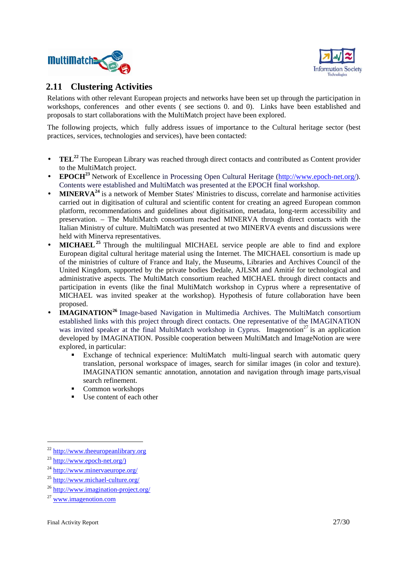



## **2.11 Clustering Activities**

Relations with other relevant European projects and networks have been set up through the participation in workshops, conferences and other events ( see sections 0. and 0). Links have been established and proposals to start collaborations with the MultiMatch project have been explored.

The following projects, which fully address issues of importance to the Cultural heritage sector (best practices, services, technologies and services), have been contacted:

- **TEL**<sup>22</sup> The European Library was reached through direct contacts and contributed as Content provider to the MultiMatch project.
- **EPOCH<sup>23</sup>** Network of Excellence in Processing Open Cultural Heritage (http://www.epoch-net.org/). Contents were established and MultiMatch was presented at the EPOCH final workshop.
- **MINERVA<sup>24</sup>** is a network of Member States' Ministries to discuss, correlate and harmonise activities carried out in digitisation of cultural and scientific content for creating an agreed European common platform, recommendations and guidelines about digitisation, metadata, long-term accessibility and preservation. – The MultiMatch consortium reached MINERVA through direct contacts with the Italian Ministry of culture. MultiMatch was presented at two MINERVA events and discussions were held with Minerva representatives.
- **MICHAEL**<sup>25</sup> Through the multilingual MICHAEL service people are able to find and explore European digital cultural heritage material using the Internet. The MICHAEL consortium is made up of the ministries of culture of France and Italy, the Museums, Libraries and Archives Council of the United Kingdom, supported by the private bodies Dedale, AJLSM and Amitié for technological and administrative aspects. The MultiMatch consortium reached MICHAEL through direct contacts and participation in events (like the final MultiMatch workshop in Cyprus where a representative of MICHAEL was invited speaker at the workshop). Hypothesis of future collaboration have been proposed.
- **IMAGINATION<sup>26</sup>** Image-based Navigation in Multimedia Archives. The MultiMatch consortium established links with this project through direct contacts. One representative of the IMAGINATION was invited speaker at the final MultiMatch workshop in Cyprus. Imagenotion<sup>27</sup> is an application developed by IMAGINATION. Possible cooperation between MultiMatch and ImageNotion are were explored, in particular:
	- Exchange of technical experience: MultiMatch multi-lingual search with automatic query translation, personal workspace of images, search for similar images (in color and texture). IMAGINATION semantic annotation, annotation and navigation through image parts,visual search refinement.
	- Common workshops
	- Use content of each other

<sup>22</sup> http://www.theeuropeanlibrary.org

 $^{23}$  http://www.epoch-net.org/)

<sup>24</sup> http://www.minervaeurope.org/

<sup>25</sup> http://www.michael-culture.org/

<sup>26</sup> http://www.imagination-project.org/

<sup>27</sup> www.imagenotion.com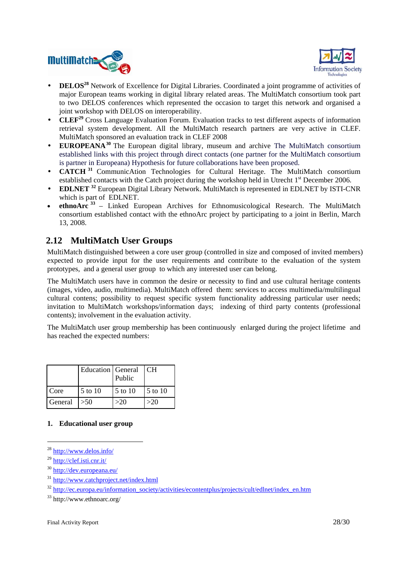



- **DELOS<sup>28</sup>** Network of Excellence for Digital Libraries. Coordinated a joint programme of activities of major European teams working in digital library related areas. The MultiMatch consortium took part to two DELOS conferences which represented the occasion to target this network and organised a joint workshop with DELOS on interoperability.
- **CLEF<sup>29</sup>** Cross Language Evaluation Forum. Evaluation tracks to test different aspects of information retrieval system development. All the MultiMatch research partners are very active in CLEF. MultiMatch sponsored an evaluation track in CLEF 2008
- **EUROPEANA<sup>30</sup>** The European digital library, museum and archive The MultiMatch consortium established links with this project through direct contacts (one partner for the MultiMatch consortium is partner in Europeana) Hypothesis for future collaborations have been proposed.
- **CATCH <sup>31</sup>** CommunicAtion Technologies for Cultural Heritage. The MultiMatch consortium established contacts with the Catch project during the workshop held in Utrecht 1<sup>st</sup> December 2006.
- **EDLNET <sup>32</sup>** European Digital Library Network. MultiMatch is represented in EDLNET by ISTI-CNR which is part of EDLNET.
- **ethnoArc <sup>33</sup>** Linked European Archives for Ethnomusicological Research. The MultiMatch consortium established contact with the ethnoArc project by participating to a joint in Berlin, March 13, 2008.

## **2.12 MultiMatch User Groups**

MultiMatch distinguished between a core user group (controlled in size and composed of invited members) expected to provide input for the user requirements and contribute to the evaluation of the system prototypes, and a general user group to which any interested user can belong.

The MultiMatch users have in common the desire or necessity to find and use cultural heritage contents (images, video, audio, multimedia). MultiMatch offered them: services to access multimedia/multilingual cultural contens; possibility to request specific system functionality addressing particular user needs; invitation to MultiMatch workshops/information days; indexing of third party contents (professional contents); involvement in the evaluation activity.

The MultiMatch user group membership has been continuously enlarged during the project lifetime and has reached the expected numbers:

|         | <b>Education</b> General | Public  | l CH    |
|---------|--------------------------|---------|---------|
| Core    | 5 to 10                  | 5 to 10 | 5 to 10 |
| General | >50                      | >20     | >20     |

#### **1. Educational user group**

<sup>28</sup> http://www.delos.info/

<sup>29</sup> http://clef.isti.cnr.it/

<sup>30</sup> http://dev.europeana.eu/

<sup>31</sup> http://www.catchproject.net/index.html

<sup>&</sup>lt;sup>32</sup> http://ec.europa.eu/information\_society/activities/econtentplus/projects/cult/edlnet/index\_en.htm

<sup>33</sup> http://www.ethnoarc.org/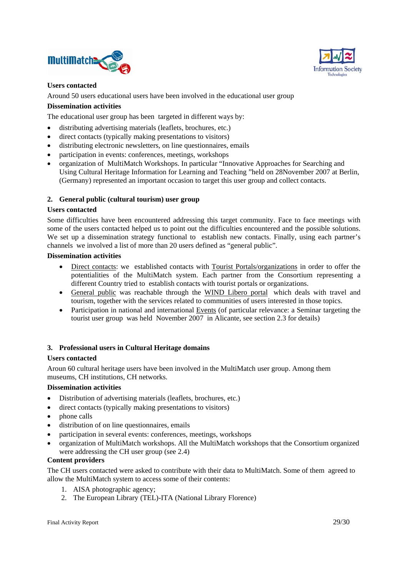



#### **Users contacted**

Around 50 users educational users have been involved in the educational user group

#### **Dissemination activities**

The educational user group has been targeted in different ways by:

- distributing advertising materials (leaflets, brochures, etc.)
- direct contacts (typically making presentations to visitors)
- distributing electronic newsletters, on line questionnaires, emails
- participation in events: conferences, meetings, workshops
- organization of MultiMatch Workshops. In particular "Innovative Approaches for Searching and Using Cultural Heritage Information for Learning and Teaching "held on 28November 2007 at Berlin, (Germany) represented an important occasion to target this user group and collect contacts.

#### **2. General public (cultural tourism) user group**

#### **Users contacted**

Some difficulties have been encountered addressing this target community. Face to face meetings with some of the users contacted helped us to point out the difficulties encountered and the possible solutions. We set up a dissemination strategy functional to establish new contacts. Finally, using each partner's channels we involved a list of more than 20 users defined as "general public".

#### **Dissemination activities**

- Direct contacts: we established contacts with Tourist Portals/organizations in order to offer the potentialities of the MultiMatch system. Each partner from the Consortium representing a different Country tried to establish contacts with tourist portals or organizations.
- General public was reachable through the WIND Libero portal which deals with travel and tourism, together with the services related to communities of users interested in those topics.
- Participation in national and international Events (of particular relevance: a Seminar targeting the tourist user group was held November 2007 in Alicante, see section 2.3 for details)

#### **3. Professional users in Cultural Heritage domains**

#### **Users contacted**

Aroun 60 cultural heritage users have been involved in the MultiMatch user group. Among them museums, CH institutions, CH networks.

#### **Dissemination activities**

- Distribution of advertising materials (leaflets, brochures, etc.)
- direct contacts (typically making presentations to visitors)
- phone calls
- distribution of on line questionnaires, emails
- participation in several events: conferences, meetings, workshops
- organization of MultiMatch workshops. All the MultiMatch workshops that the Consortium organized were addressing the CH user group (see 2.4)

#### **Content providers**

The CH users contacted were asked to contribute with their data to MultiMatch. Some of them agreed to allow the MultiMatch system to access some of their contents:

- 1. AISA photographic agency;
- 2. The European Library (TEL)-ITA (National Library Florence)